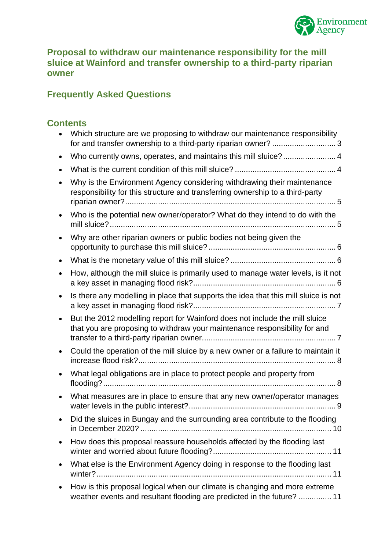

### **Proposal to withdraw our maintenance responsibility for the mill sluice at Wainford and transfer ownership to a third-party riparian owner**

# **Frequently Asked Questions**

# **Contents**

| Which structure are we proposing to withdraw our maintenance responsibility<br>for and transfer ownership to a third-party riparian owner? 3              |
|-----------------------------------------------------------------------------------------------------------------------------------------------------------|
| Who currently owns, operates, and maintains this mill sluice? 4                                                                                           |
|                                                                                                                                                           |
| Why is the Environment Agency considering withdrawing their maintenance<br>responsibility for this structure and transferring ownership to a third-party  |
| Who is the potential new owner/operator? What do they intend to do with the                                                                               |
| Why are other riparian owners or public bodies not being given the                                                                                        |
|                                                                                                                                                           |
| How, although the mill sluice is primarily used to manage water levels, is it not                                                                         |
| Is there any modelling in place that supports the idea that this mill sluice is not                                                                       |
| But the 2012 modelling report for Wainford does not include the mill sluice<br>that you are proposing to withdraw your maintenance responsibility for and |
| Could the operation of the mill sluice by a new owner or a failure to maintain it                                                                         |
| What legal obligations are in place to protect people and property from                                                                                   |
| What measures are in place to ensure that any new owner/operator manages                                                                                  |
| Did the sluices in Bungay and the surrounding area contribute to the flooding                                                                             |
| How does this proposal reassure households affected by the flooding last                                                                                  |
| What else is the Environment Agency doing in response to the flooding last                                                                                |
| How is this proposal logical when our climate is changing and more extreme<br>weather events and resultant flooding are predicted in the future?  11      |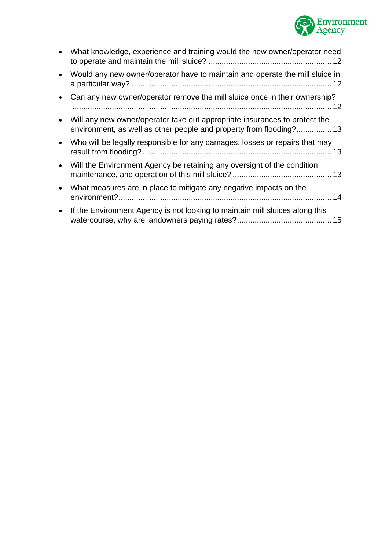

|           | What knowledge, experience and training would the new owner/operator need                                                                         |
|-----------|---------------------------------------------------------------------------------------------------------------------------------------------------|
| $\bullet$ | Would any new owner/operator have to maintain and operate the mill sluice in                                                                      |
|           | Can any new owner/operator remove the mill sluice once in their ownership?                                                                        |
|           | Will any new owner/operator take out appropriate insurances to protect the<br>environment, as well as other people and property from flooding? 13 |
| $\bullet$ | Who will be legally responsible for any damages, losses or repairs that may                                                                       |
| $\bullet$ | Will the Environment Agency be retaining any oversight of the condition,                                                                          |
| $\bullet$ | What measures are in place to mitigate any negative impacts on the                                                                                |
| $\bullet$ | If the Environment Agency is not looking to maintain mill sluices along this                                                                      |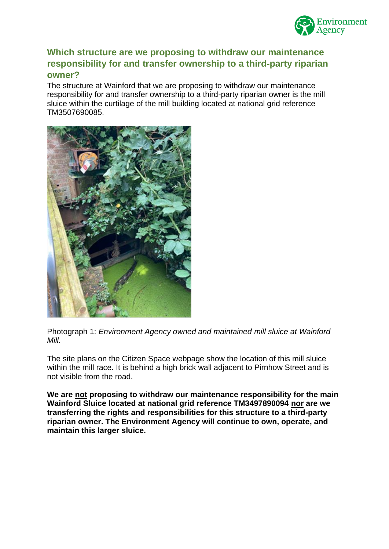

#### <span id="page-2-0"></span>**Which structure are we proposing to withdraw our maintenance responsibility for and transfer ownership to a third-party riparian owner?**

The structure at Wainford that we are proposing to withdraw our maintenance responsibility for and transfer ownership to a third-party riparian owner is the mill sluice within the curtilage of the mill building located at national grid reference TM3507690085.



Photograph 1: *Environment Agency owned and maintained mill sluice at Wainford Mill.*

The site plans on the Citizen Space webpage show the location of this mill sluice within the mill race. It is behind a high brick wall adiacent to Pirnhow Street and is not visible from the road.

**We are not proposing to withdraw our maintenance responsibility for the main Wainford Sluice located at national grid reference TM3497890094 nor are we transferring the rights and responsibilities for this structure to a third-party riparian owner. The Environment Agency will continue to own, operate, and maintain this larger sluice.**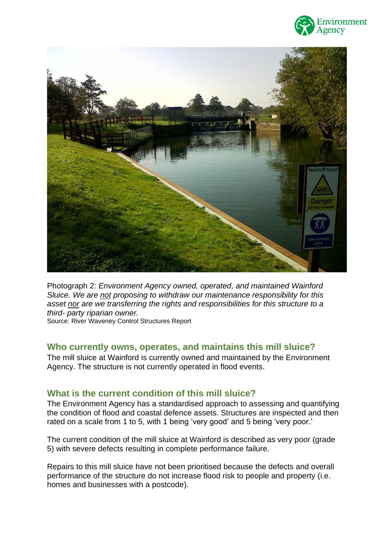



Photograph 2: *Environment Agency owned, operated, and maintained Wainford Sluice. We are not proposing to withdraw our maintenance responsibility for this asset nor are we transferring the rights and responsibilities for this structure to a third- party riparian owner.* Source: River Waveney Control Structures Report

<span id="page-3-0"></span>**Who currently owns, operates, and maintains this mill sluice?** 

The mill sluice at Wainford is currently owned and maintained by the Environment Agency. The structure is not currently operated in flood events.

# <span id="page-3-1"></span>**What is the current condition of this mill sluice?**

The Environment Agency has a standardised approach to assessing and quantifying the condition of flood and coastal defence assets. Structures are inspected and then rated on a scale from 1 to 5, with 1 being 'very good' and 5 being 'very poor.'

The current condition of the mill sluice at Wainford is described as very poor (grade 5) with severe defects resulting in complete performance failure.

Repairs to this mill sluice have not been prioritised because the defects and overall performance of the structure do not increase flood risk to people and property (i.e. homes and businesses with a postcode).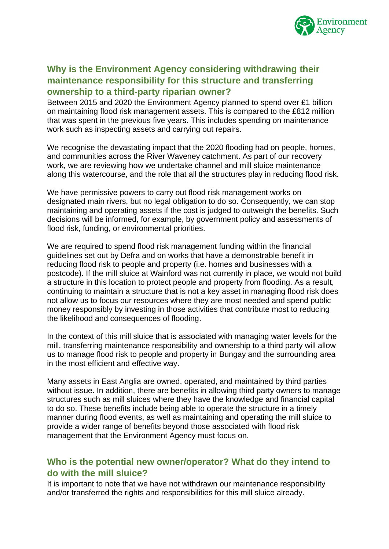

# <span id="page-4-0"></span>**Why is the Environment Agency considering withdrawing their maintenance responsibility for this structure and transferring ownership to a third-party riparian owner?**

Between 2015 and 2020 the Environment Agency planned to spend over £1 billion on maintaining flood risk management assets. This is compared to the £812 million that was spent in the previous five years. This includes spending on maintenance work such as inspecting assets and carrying out repairs.

We recognise the devastating impact that the 2020 flooding had on people, homes, and communities across the River Waveney catchment. As part of our recovery work, we are reviewing how we undertake channel and mill sluice maintenance along this watercourse, and the role that all the structures play in reducing flood risk.

We have permissive powers to carry out flood risk management works on designated main rivers, but no legal obligation to do so. Consequently, we can stop maintaining and operating assets if the cost is judged to outweigh the benefits. Such decisions will be informed, for example, by government policy and assessments of flood risk, funding, or environmental priorities.

We are required to spend flood risk management funding within the financial guidelines set out by Defra and on works that have a demonstrable benefit in reducing flood risk to people and property (i.e. homes and businesses with a postcode). If the mill sluice at Wainford was not currently in place, we would not build a structure in this location to protect people and property from flooding. As a result, continuing to maintain a structure that is not a key asset in managing flood risk does not allow us to focus our resources where they are most needed and spend public money responsibly by investing in those activities that contribute most to reducing the likelihood and consequences of flooding.

In the context of this mill sluice that is associated with managing water levels for the mill, transferring maintenance responsibility and ownership to a third party will allow us to manage flood risk to people and property in Bungay and the surrounding area in the most efficient and effective way.

Many assets in East Anglia are owned, operated, and maintained by third parties without issue. In addition, there are benefits in allowing third party owners to manage structures such as mill sluices where they have the knowledge and financial capital to do so. These benefits include being able to operate the structure in a timely manner during flood events, as well as maintaining and operating the mill sluice to provide a wider range of benefits beyond those associated with flood risk management that the Environment Agency must focus on.

# <span id="page-4-1"></span>**Who is the potential new owner/operator? What do they intend to do with the mill sluice?**

It is important to note that we have not withdrawn our maintenance responsibility and/or transferred the rights and responsibilities for this mill sluice already.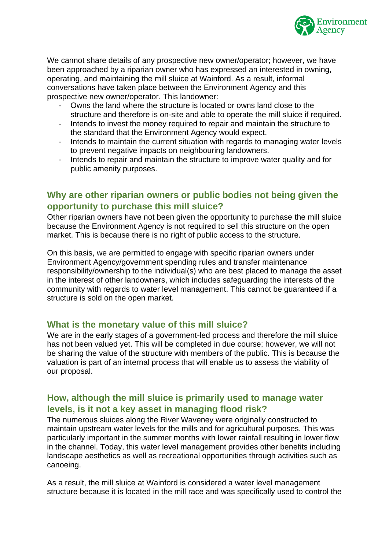

We cannot share details of any prospective new owner/operator; however, we have been approached by a riparian owner who has expressed an interested in owning, operating, and maintaining the mill sluice at Wainford. As a result, informal conversations have taken place between the Environment Agency and this prospective new owner/operator. This landowner:

- Owns the land where the structure is located or owns land close to the structure and therefore is on-site and able to operate the mill sluice if required.
- Intends to invest the money required to repair and maintain the structure to the standard that the Environment Agency would expect.
- Intends to maintain the current situation with regards to managing water levels to prevent negative impacts on neighbouring landowners.
- Intends to repair and maintain the structure to improve water quality and for public amenity purposes.

#### <span id="page-5-0"></span>**Why are other riparian owners or public bodies not being given the opportunity to purchase this mill sluice?**

Other riparian owners have not been given the opportunity to purchase the mill sluice because the Environment Agency is not required to sell this structure on the open market. This is because there is no right of public access to the structure.

On this basis, we are permitted to engage with specific riparian owners under Environment Agency/government spending rules and transfer maintenance responsibility/ownership to the individual(s) who are best placed to manage the asset in the interest of other landowners, which includes safeguarding the interests of the community with regards to water level management. This cannot be guaranteed if a structure is sold on the open market.

#### <span id="page-5-1"></span>**What is the monetary value of this mill sluice?**

We are in the early stages of a government-led process and therefore the mill sluice has not been valued yet. This will be completed in due course; however, we will not be sharing the value of the structure with members of the public. This is because the valuation is part of an internal process that will enable us to assess the viability of our proposal.

# <span id="page-5-2"></span>**How, although the mill sluice is primarily used to manage water levels, is it not a key asset in managing flood risk?**

The numerous sluices along the River Waveney were originally constructed to maintain upstream water levels for the mills and for agricultural purposes. This was particularly important in the summer months with lower rainfall resulting in lower flow in the channel. Today, this water level management provides other benefits including landscape aesthetics as well as recreational opportunities through activities such as canoeing.

As a result, the mill sluice at Wainford is considered a water level management structure because it is located in the mill race and was specifically used to control the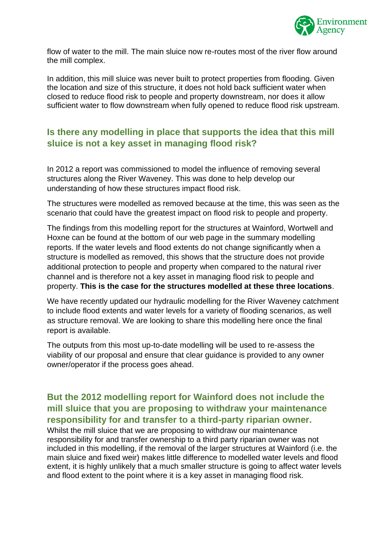

flow of water to the mill. The main sluice now re-routes most of the river flow around the mill complex.

In addition, this mill sluice was never built to protect properties from flooding. Given the location and size of this structure, it does not hold back sufficient water when closed to reduce flood risk to people and property downstream, nor does it allow sufficient water to flow downstream when fully opened to reduce flood risk upstream.

# <span id="page-6-0"></span>**Is there any modelling in place that supports the idea that this mill sluice is not a key asset in managing flood risk?**

In 2012 a report was commissioned to model the influence of removing several structures along the River Waveney. This was done to help develop our understanding of how these structures impact flood risk.

The structures were modelled as removed because at the time, this was seen as the scenario that could have the greatest impact on flood risk to people and property.

The findings from this modelling report for the structures at Wainford, Wortwell and Hoxne can be found at the bottom of our web page in the summary modelling reports. If the water levels and flood extents do not change significantly when a structure is modelled as removed, this shows that the structure does not provide additional protection to people and property when compared to the natural river channel and is therefore not a key asset in managing flood risk to people and property. **This is the case for the structures modelled at these three locations**.

We have recently updated our hydraulic modelling for the River Waveney catchment to include flood extents and water levels for a variety of flooding scenarios, as well as structure removal. We are looking to share this modelling here once the final report is available.

The outputs from this most up-to-date modelling will be used to re-assess the viability of our proposal and ensure that clear guidance is provided to any owner owner/operator if the process goes ahead.

# <span id="page-6-1"></span>**But the 2012 modelling report for Wainford does not include the mill sluice that you are proposing to withdraw your maintenance responsibility for and transfer to a third-party riparian owner.**

Whilst the mill sluice that we are proposing to withdraw our maintenance responsibility for and transfer ownership to a third party riparian owner was not included in this modelling, if the removal of the larger structures at Wainford (i.e. the main sluice and fixed weir) makes little difference to modelled water levels and flood extent, it is highly unlikely that a much smaller structure is going to affect water levels and flood extent to the point where it is a key asset in managing flood risk.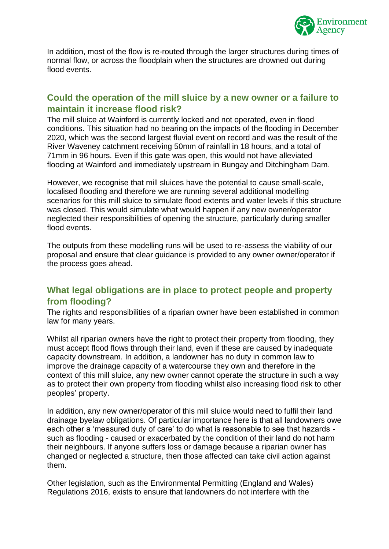

In addition, most of the flow is re-routed through the larger structures during times of normal flow, or across the floodplain when the structures are drowned out during flood events.

### <span id="page-7-0"></span>**Could the operation of the mill sluice by a new owner or a failure to maintain it increase flood risk?**

The mill sluice at Wainford is currently locked and not operated, even in flood conditions. This situation had no bearing on the impacts of the flooding in December 2020, which was the second largest fluvial event on record and was the result of the River Waveney catchment receiving 50mm of rainfall in 18 hours, and a total of 71mm in 96 hours. Even if this gate was open, this would not have alleviated flooding at Wainford and immediately upstream in Bungay and Ditchingham Dam.

However, we recognise that mill sluices have the potential to cause small-scale, localised flooding and therefore we are running several additional modelling scenarios for this mill sluice to simulate flood extents and water levels if this structure was closed. This would simulate what would happen if any new owner/operator neglected their responsibilities of opening the structure, particularly during smaller flood events.

The outputs from these modelling runs will be used to re-assess the viability of our proposal and ensure that clear guidance is provided to any owner owner/operator if the process goes ahead.

### <span id="page-7-1"></span>**What legal obligations are in place to protect people and property from flooding?**

The rights and responsibilities of a riparian owner have been established in common law for many years.

Whilst all riparian owners have the right to protect their property from flooding, they must accept flood flows through their land, even if these are caused by inadequate capacity downstream. In addition, a landowner has no duty in common law to improve the drainage capacity of a watercourse they own and therefore in the context of this mill sluice, any new owner cannot operate the structure in such a way as to protect their own property from flooding whilst also increasing flood risk to other peoples' property.

In addition, any new owner/operator of this mill sluice would need to fulfil their land drainage byelaw obligations. Of particular importance here is that all landowners owe each other a 'measured duty of care' to do what is reasonable to see that hazards such as flooding - caused or exacerbated by the condition of their land do not harm their neighbours. If anyone suffers loss or damage because a riparian owner has changed or neglected a structure, then those affected can take civil action against them.

Other legislation, such as the Environmental Permitting (England and Wales) Regulations 2016, exists to ensure that landowners do not interfere with the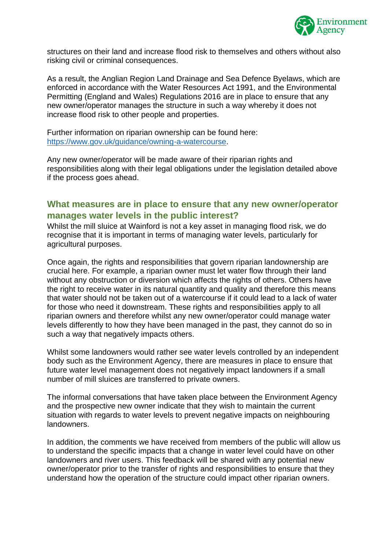

structures on their land and increase flood risk to themselves and others without also risking civil or criminal consequences.

As a result, the Anglian Region Land Drainage and Sea Defence Byelaws, which are enforced in accordance with the Water Resources Act 1991, and the Environmental Permitting (England and Wales) Regulations 2016 are in place to ensure that any new owner/operator manages the structure in such a way whereby it does not increase flood risk to other people and properties.

Further information on riparian ownership can be found here: [https://www.gov.uk/guidance/owning-a-watercourse.](https://www.gov.uk/guidance/owning-a-watercourse)

Any new owner/operator will be made aware of their riparian rights and responsibilities along with their legal obligations under the legislation detailed above if the process goes ahead.

#### <span id="page-8-0"></span>**What measures are in place to ensure that any new owner/operator manages water levels in the public interest?**

Whilst the mill sluice at Wainford is not a key asset in managing flood risk, we do recognise that it is important in terms of managing water levels, particularly for agricultural purposes.

Once again, the rights and responsibilities that govern riparian landownership are crucial here. For example, a riparian owner must let water flow through their land without any obstruction or diversion which affects the rights of others. Others have the right to receive water in its natural quantity and quality and therefore this means that water should not be taken out of a watercourse if it could lead to a lack of water for those who need it downstream. These rights and responsibilities apply to all riparian owners and therefore whilst any new owner/operator could manage water levels differently to how they have been managed in the past, they cannot do so in such a way that negatively impacts others.

Whilst some landowners would rather see water levels controlled by an independent body such as the Environment Agency, there are measures in place to ensure that future water level management does not negatively impact landowners if a small number of mill sluices are transferred to private owners.

The informal conversations that have taken place between the Environment Agency and the prospective new owner indicate that they wish to maintain the current situation with regards to water levels to prevent negative impacts on neighbouring landowners.

In addition, the comments we have received from members of the public will allow us to understand the specific impacts that a change in water level could have on other landowners and river users. This feedback will be shared with any potential new owner/operator prior to the transfer of rights and responsibilities to ensure that they understand how the operation of the structure could impact other riparian owners.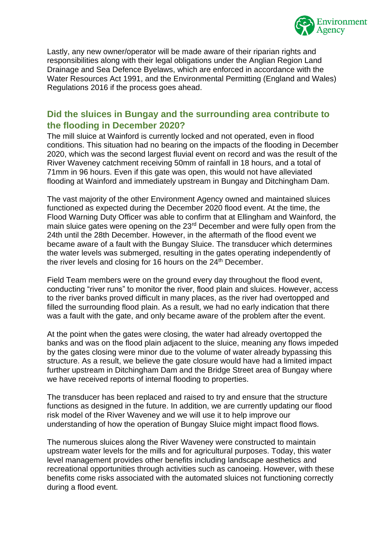

Lastly, any new owner/operator will be made aware of their riparian rights and responsibilities along with their legal obligations under the Anglian Region Land Drainage and Sea Defence Byelaws, which are enforced in accordance with the Water Resources Act 1991, and the Environmental Permitting (England and Wales) Regulations 2016 if the process goes ahead.

### <span id="page-9-0"></span>**Did the sluices in Bungay and the surrounding area contribute to the flooding in December 2020?**

The mill sluice at Wainford is currently locked and not operated, even in flood conditions. This situation had no bearing on the impacts of the flooding in December 2020, which was the second largest fluvial event on record and was the result of the River Waveney catchment receiving 50mm of rainfall in 18 hours, and a total of 71mm in 96 hours. Even if this gate was open, this would not have alleviated flooding at Wainford and immediately upstream in Bungay and Ditchingham Dam.

The vast majority of the other Environment Agency owned and maintained sluices functioned as expected during the December 2020 flood event. At the time, the Flood Warning Duty Officer was able to confirm that at Ellingham and Wainford, the main sluice gates were opening on the 23<sup>rd</sup> December and were fully open from the 24th until the 28th December. However, in the aftermath of the flood event we became aware of a fault with the Bungay Sluice. The transducer which determines the water levels was submerged, resulting in the gates operating independently of the river levels and closing for 16 hours on the 24<sup>th</sup> December.

Field Team members were on the ground every day throughout the flood event, conducting "river runs" to monitor the river, flood plain and sluices. However, access to the river banks proved difficult in many places, as the river had overtopped and filled the surrounding flood plain. As a result, we had no early indication that there was a fault with the gate, and only became aware of the problem after the event.

At the point when the gates were closing, the water had already overtopped the banks and was on the flood plain adjacent to the sluice, meaning any flows impeded by the gates closing were minor due to the volume of water already bypassing this structure. As a result, we believe the gate closure would have had a limited impact further upstream in Ditchingham Dam and the Bridge Street area of Bungay where we have received reports of internal flooding to properties.

The transducer has been replaced and raised to try and ensure that the structure functions as designed in the future. In addition, we are currently updating our flood risk model of the River Waveney and we will use it to help improve our understanding of how the operation of Bungay Sluice might impact flood flows.

The numerous sluices along the River Waveney were constructed to maintain upstream water levels for the mills and for agricultural purposes. Today, this water level management provides other benefits including landscape aesthetics and recreational opportunities through activities such as canoeing. However, with these benefits come risks associated with the automated sluices not functioning correctly during a flood event.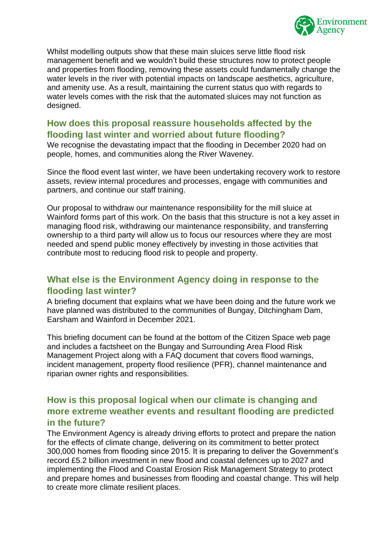

Whilst modelling outputs show that these main sluices serve little flood risk management benefit and we wouldn't build these structures now to protect people and properties from flooding, removing these assets could fundamentally change the water levels in the river with potential impacts on landscape aesthetics, agriculture, and amenity use. As a result, maintaining the current status quo with regards to water levels comes with the risk that the automated sluices may not function as designed.

# <span id="page-10-0"></span>**How does this proposal reassure households affected by the flooding last winter and worried about future flooding?**

We recognise the devastating impact that the flooding in December 2020 had on people, homes, and communities along the River Waveney.

Since the flood event last winter, we have been undertaking recovery work to restore assets, review internal procedures and processes, engage with communities and partners, and continue our staff training.

Our proposal to withdraw our maintenance responsibility for the mill sluice at Wainford forms part of this work. On the basis that this structure is not a key asset in managing flood risk, withdrawing our maintenance responsibility, and transferring ownership to a third party will allow us to focus our resources where they are most needed and spend public money effectively by investing in those activities that contribute most to reducing flood risk to people and property.

# <span id="page-10-1"></span>**What else is the Environment Agency doing in response to the flooding last winter?**

A briefing document that explains what we have been doing and the future work we have planned was distributed to the communities of Bungay, Ditchingham Dam, Earsham and Wainford in December 2021.

This briefing document can be found at the bottom of the Citizen Space web page and includes a factsheet on the Bungay and Surrounding Area Flood Risk Management Project along with a FAQ document that covers flood warnings, incident management, property flood resilience (PFR), channel maintenance and riparian owner rights and responsibilities.

### <span id="page-10-2"></span>**How is this proposal logical when our climate is changing and more extreme weather events and resultant flooding are predicted in the future?**

The Environment Agency is already driving efforts to protect and prepare the nation for the effects of climate change, delivering on its commitment to better protect 300,000 homes from flooding since 2015. It is preparing to deliver the Government's record £5.2 billion investment in new flood and coastal defences up to 2027 and implementing the Flood and Coastal Erosion Risk Management Strategy to protect and prepare homes and businesses from flooding and coastal change. This will help to create more climate resilient places.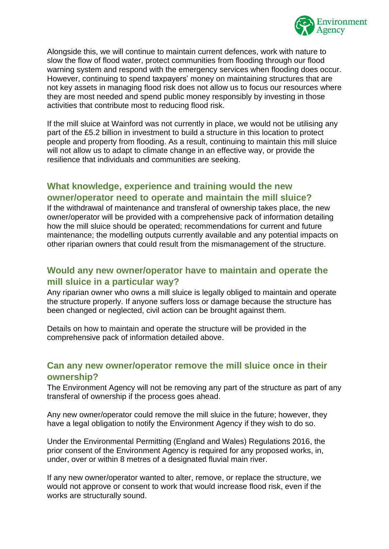

Alongside this, we will continue to maintain current defences, work with nature to slow the flow of flood water, protect communities from flooding through our flood warning system and respond with the emergency services when flooding does occur. However, continuing to spend taxpayers' money on maintaining structures that are not key assets in managing flood risk does not allow us to focus our resources where they are most needed and spend public money responsibly by investing in those activities that contribute most to reducing flood risk.

If the mill sluice at Wainford was not currently in place, we would not be utilising any part of the £5.2 billion in investment to build a structure in this location to protect people and property from flooding. As a result, continuing to maintain this mill sluice will not allow us to adapt to climate change in an effective way, or provide the resilience that individuals and communities are seeking.

# <span id="page-11-0"></span>**What knowledge, experience and training would the new owner/operator need to operate and maintain the mill sluice?**

If the withdrawal of maintenance and transferal of ownership takes place, the new owner/operator will be provided with a comprehensive pack of information detailing how the mill sluice should be operated; recommendations for current and future maintenance; the modelling outputs currently available and any potential impacts on other riparian owners that could result from the mismanagement of the structure.

### <span id="page-11-1"></span>**Would any new owner/operator have to maintain and operate the mill sluice in a particular way?**

Any riparian owner who owns a mill sluice is legally obliged to maintain and operate the structure properly. If anyone suffers loss or damage because the structure has been changed or neglected, civil action can be brought against them.

Details on how to maintain and operate the structure will be provided in the comprehensive pack of information detailed above.

### <span id="page-11-2"></span>**Can any new owner/operator remove the mill sluice once in their ownership?**

The Environment Agency will not be removing any part of the structure as part of any transferal of ownership if the process goes ahead.

Any new owner/operator could remove the mill sluice in the future; however, they have a legal obligation to notify the Environment Agency if they wish to do so.

Under the Environmental Permitting (England and Wales) Regulations 2016, the prior consent of the Environment Agency is required for any proposed works, in, under, over or within 8 metres of a designated fluvial main river.

If any new owner/operator wanted to alter, remove, or replace the structure, we would not approve or consent to work that would increase flood risk, even if the works are structurally sound.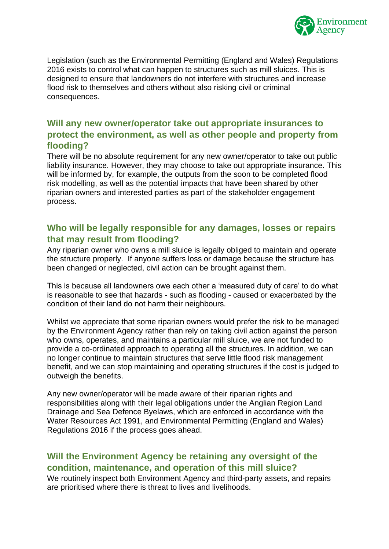

Legislation (such as the Environmental Permitting (England and Wales) Regulations 2016 exists to control what can happen to structures such as mill sluices. This is designed to ensure that landowners do not interfere with structures and increase flood risk to themselves and others without also risking civil or criminal consequences.

# <span id="page-12-0"></span>**Will any new owner/operator take out appropriate insurances to protect the environment, as well as other people and property from flooding?**

There will be no absolute requirement for any new owner/operator to take out public liability insurance. However, they may choose to take out appropriate insurance. This will be informed by, for example, the outputs from the soon to be completed flood risk modelling, as well as the potential impacts that have been shared by other riparian owners and interested parties as part of the stakeholder engagement process.

### <span id="page-12-1"></span>**Who will be legally responsible for any damages, losses or repairs that may result from flooding?**

Any riparian owner who owns a mill sluice is legally obliged to maintain and operate the structure properly. If anyone suffers loss or damage because the structure has been changed or neglected, civil action can be brought against them.

This is because all landowners owe each other a 'measured duty of care' to do what is reasonable to see that hazards - such as flooding - caused or exacerbated by the condition of their land do not harm their neighbours.

Whilst we appreciate that some riparian owners would prefer the risk to be managed by the Environment Agency rather than rely on taking civil action against the person who owns, operates, and maintains a particular mill sluice, we are not funded to provide a co-ordinated approach to operating all the structures. In addition, we can no longer continue to maintain structures that serve little flood risk management benefit, and we can stop maintaining and operating structures if the cost is judged to outweigh the benefits.

Any new owner/operator will be made aware of their riparian rights and responsibilities along with their legal obligations under the Anglian Region Land Drainage and Sea Defence Byelaws, which are enforced in accordance with the Water Resources Act 1991, and Environmental Permitting (England and Wales) Regulations 2016 if the process goes ahead.

# <span id="page-12-2"></span>**Will the Environment Agency be retaining any oversight of the condition, maintenance, and operation of this mill sluice?**

We routinely inspect both Environment Agency and third-party assets, and repairs are prioritised where there is threat to lives and livelihoods.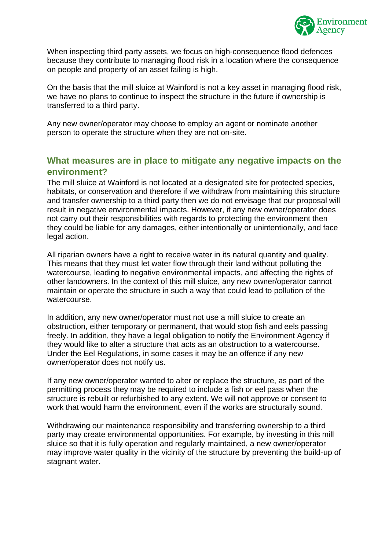

When inspecting third party assets, we focus on high-consequence flood defences because they contribute to managing flood risk in a location where the consequence on people and property of an asset failing is high.

On the basis that the mill sluice at Wainford is not a key asset in managing flood risk, we have no plans to continue to inspect the structure in the future if ownership is transferred to a third party.

Any new owner/operator may choose to employ an agent or nominate another person to operate the structure when they are not on-site.

### <span id="page-13-0"></span>**What measures are in place to mitigate any negative impacts on the environment?**

The mill sluice at Wainford is not located at a designated site for protected species, habitats, or conservation and therefore if we withdraw from maintaining this structure and transfer ownership to a third party then we do not envisage that our proposal will result in negative environmental impacts. However, if any new owner/operator does not carry out their responsibilities with regards to protecting the environment then they could be liable for any damages, either intentionally or unintentionally, and face legal action.

All riparian owners have a right to receive water in its natural quantity and quality. This means that they must let water flow through their land without polluting the watercourse, leading to negative environmental impacts, and affecting the rights of other landowners. In the context of this mill sluice, any new owner/operator cannot maintain or operate the structure in such a way that could lead to pollution of the watercourse.

In addition, any new owner/operator must not use a mill sluice to create an obstruction, either temporary or permanent, that would stop fish and eels passing freely. In addition, they have a legal obligation to notify the Environment Agency if they would like to alter a structure that acts as an obstruction to a watercourse. Under the Eel Regulations, in some cases it may be an offence if any new owner/operator does not notify us.

If any new owner/operator wanted to alter or replace the structure, as part of the permitting process they may be required to include a fish or eel pass when the structure is rebuilt or refurbished to any extent. We will not approve or consent to work that would harm the environment, even if the works are structurally sound.

Withdrawing our maintenance responsibility and transferring ownership to a third party may create environmental opportunities. For example, by investing in this mill sluice so that it is fully operation and regularly maintained, a new owner/operator may improve water quality in the vicinity of the structure by preventing the build-up of stagnant water.